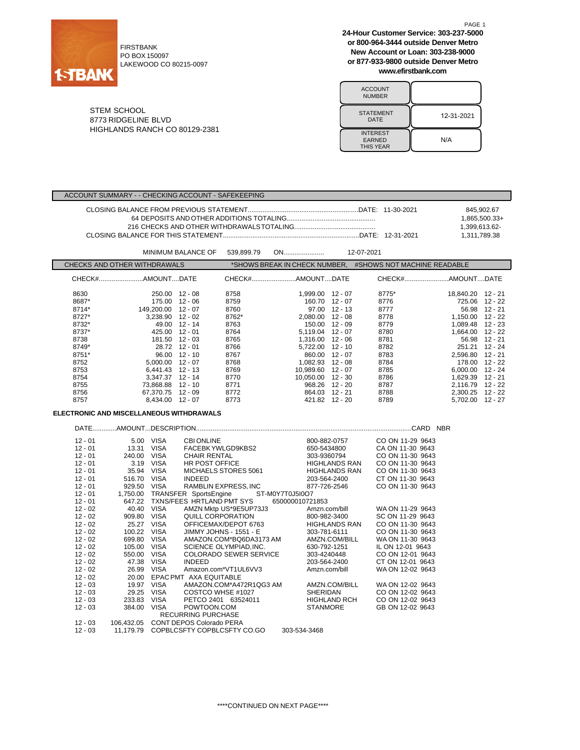

FIRSTBANK PO BOX 150097 LAKEWOOD CO 80215-0097 **24-Hour Customer Service: 303-237-5000 or 800-964-3444 outside Denver Metro New Account or Loan: 303-238-9000 or 877-933-9800 outside Denver Metro www.efirstbank.com**

PAGE 1

| <b>ACCOUNT</b><br><b>NUMBER</b>                      |            |
|------------------------------------------------------|------------|
| <b>STATEMENT</b><br>DATE                             | 12-31-2021 |
| <b>INTEREST</b><br><b>EARNED</b><br><b>THIS YEAR</b> | N/A        |

STEM SCHOOL 8773 RIDGELINE BLVD HIGHLANDS RANCH CO 80129-2381

ACCOUNT SUMMARY - - CHECKING ACCOUNT - SAFEKEEPING

|           |                                                            |                     |                      |                    | 1,399,613.62-<br>1,311,789.38 | 845,902.67<br>1.865.500.33+                               |                   |               |
|-----------|------------------------------------------------------------|---------------------|----------------------|--------------------|-------------------------------|-----------------------------------------------------------|-------------------|---------------|
|           |                                                            | MINIMUM BALANCE OF  | 539,899.79           |                    |                               | 12-07-2021                                                |                   |               |
|           | CHECKS AND OTHER WITHDRAWALS                               |                     |                      |                    |                               | *SHOWS BREAK IN CHECK NUMBER. #SHOWS NOT MACHINE READABLE |                   |               |
|           | CHECK#AMOUNTDATE                                           |                     |                      | CHECK#AMOUNTDATE   |                               | CHECK#AMOUNTDATE                                          |                   |               |
| 8630      | 250.00 12 - 08                                             |                     | 8758                 | 1,999.00 12 - 07   |                               | 8775*                                                     | 18,840.20 12 - 21 |               |
| 8687*     |                                                            | 175.00 12 - 06      | 8759                 | 160.70 12 - 07     |                               | 8776                                                      | 725.06 12 - 22    |               |
| 8714*     | 149.200.00 12 - 07                                         |                     | 8760                 |                    | $97.00$ $12 - 13$             | 8777                                                      |                   | 56.98 12 - 21 |
| 8727*     | $3.238.90$ 12 - 02                                         |                     | 8762*                | $2.080.00$ 12 - 08 |                               | 8778                                                      | 1,150.00 12 - 22  |               |
| 8732*     |                                                            | 49.00 12 - 14       | 8763                 | 150.00 12 - 09     |                               | 8779                                                      | 1,089.48 12 - 23  |               |
| 8737*     | 425.00 12 - 01                                             |                     | 8764                 | 5,119.04 12 - 07   |                               | 8780                                                      | 1,664.00 12 - 22  |               |
| 8738      | 181.50 12 - 03                                             |                     | 8765                 | 1,316.00 12 - 06   |                               | 8781                                                      |                   | 56.98 12 - 21 |
| 8749*     | 28.72 12 - 01                                              |                     | 8766                 | 5,722.00 12 - 10   |                               | 8782                                                      | 251.21 12 - 24    |               |
| 8751*     |                                                            | $96.00$ 12 - 10     | 8767                 | 860.00 12 - 07     |                               | 8783                                                      | 2,596.80 12 - 21  |               |
| 8752      | $5,000.00$ 12 - 07                                         |                     | 8768                 | 1.082.93 12 - 08   |                               | 8784                                                      | 178.00 12 - 22    |               |
| 8753      | 6.441.43 12 - 13                                           |                     | 8769                 | 10.989.60 12 - 07  |                               | 8785                                                      | 6,000.00 12 - 24  |               |
| 8754      | $3.347.37$ 12 - 14                                         |                     | 8770                 | 10.050.00 12 - 30  |                               | 8786                                                      | 1.629.39 12 - 21  |               |
| 8755      | 73.868.88 12 - 10                                          |                     | 8771                 |                    | 968.26 12 - 20                | 8787                                                      | 2,116.79 12 - 22  |               |
| 8756      | 67,370.75 12 - 09                                          |                     | 8772                 |                    | 864.03 12 - 21                | 8788                                                      | 2,300.25 12 - 22  |               |
| 8757      | 8,434.00 12 - 07                                           |                     | 8773                 |                    | 421.82 12 - 20                | 8789                                                      | 5,702.00 12 - 27  |               |
|           | ELECTRONIC AND MISCELLANEOUS WITHDRAWALS                   |                     |                      |                    |                               |                                                           |                   |               |
|           |                                                            |                     |                      |                    |                               |                                                           |                   |               |
| $12 - 01$ | 5.00 VISA                                                  | <b>CBI ONLINE</b>   |                      |                    | 800-882-0757                  | CO ON 11-29 9643                                          |                   |               |
| $12 - 01$ | 13.31 VISA                                                 |                     | FACEBK YWLGD9KBS2    |                    | 650-5434800                   | CA ON 11-30 9643                                          |                   |               |
| $12 - 01$ | 240.00 VISA                                                | <b>CHAIR RENTAL</b> |                      | 303-9360794        |                               | CO ON 11-30 9643                                          |                   |               |
| $12 - 01$ | 3.19 VISA                                                  | HR POST OFFICE      |                      |                    | <b>HIGHLANDS RAN</b>          | CO ON 11-30 9643                                          |                   |               |
| $12 - 01$ | 35.94 VISA                                                 |                     | MICHAELS STORES 5061 |                    | <b>HIGHLANDS RAN</b>          | CO ON 11-30 9643                                          |                   |               |
| $12 - 01$ | <b>VISA</b><br>516.70                                      | <b>INDEED</b>       |                      | 203-564-2400       |                               | CT ON 11-30 9643                                          |                   |               |
| $12 - 01$ | 929.50 VISA                                                |                     | RAMBLIN EXPRESS, INC | 877-726-2546       |                               | CO ON 11-30 9643                                          |                   |               |
| $12 - 01$ | 1,750.00 TRANSFER SportsEngine                             |                     |                      | ST-M0Y7T0J5I0O7    |                               |                                                           |                   |               |
| 10 O1     | <b>CAT 22 TYNIC/EEEC LIBTI AND DMT CVC CEOOOOOAO7240E2</b> |                     |                      |                    |                               |                                                           |                   |               |

| $L - U$   | ວ∠ວ.ບ∪ | <b>VIUA</b> | <b>IMITLE LATE CO. INC.</b>                       | <u>011-120-2070</u>  | ט <del>ד</del> טט טטיוו ווט טט |
|-----------|--------|-------------|---------------------------------------------------|----------------------|--------------------------------|
| 12 - 01   |        |             | 1,750.00 TRANSFER SportsEngine<br>ST-M0Y7T0J5I0O7 |                      |                                |
| $12 - 01$ | 647.22 |             | TXNS/FEES HRTLAND PMT SYS                         | 650000010721853      |                                |
| 12 - 02   | 40.40  | VISA        | AMZN Mktp US*9E5UP73J3                            | Amzn.com/bill        | WA ON 11-29 9643               |
| 12 - 02   | 909.80 | <b>VISA</b> | QUILL CORPORATION                                 | 800-982-3400         | SC ON 11-29 9643               |
| 12 - 02   | 25.27  | VISA        | OFFICEMAX/DEPOT 6763                              | <b>HIGHLANDS RAN</b> | CO ON 11-30 9643               |
| 12 - 02   | 100.22 | VISA        | <b>JIMMY JOHNS - 1551 - E</b>                     | 303-781-6111         | CO ON 11-30 9643               |
| 12 - 02   | 699.80 | <b>VISA</b> | AMAZON.COM*BQ6DA3173 AM                           | AMZN.COM/BILL        | WA ON 11-30 9643               |
| 12 - 02   | 105.00 | <b>VISA</b> | SCIENCE OLYMPIAD.INC.                             | 630-792-1251         | IL ON 12-01 9643               |
| 12 - 02   | 550.00 | <b>VISA</b> | <b>COLORADO SEWER SERVICE</b>                     | 303-4240448          | CO ON 12-01 9643               |
| 12 - 02   | 47.38  | <b>VISA</b> | <b>INDEED</b>                                     | 203-564-2400         | CT ON 12-01 9643               |
| 12 - 02   | 26.99  | <b>VISA</b> | Amazon.com*VT1UL6VV3                              | Amzn.com/bill        | WA ON 12-02 9643               |
| 12 - 02   | 20.00  |             | EPAC PMT AXA EQUITABLE                            |                      |                                |
| 12 - 03   | 19.97  | VISA        | AMAZON.COM*A472R1QG3 AM                           | AMZN.COM/BILL        | WA ON 12-02 9643               |
| $12 - 03$ | 29.25  | VISA        | COSTCO WHSE #1027                                 | <b>SHERIDAN</b>      | CO ON 12-02 9643               |
| $12 - 03$ | 233.83 | VISA        | PETCO 2401 63524011                               | <b>HIGHLAND RCH</b>  | CO ON 12-02 9643               |
| 12 - 03   | 384.00 | <b>VISA</b> | POWTOON.COM                                       | <b>STANMORE</b>      | GB ON 12-02 9643               |
|           |        |             | <b>RECURRING PURCHASE</b>                         |                      |                                |
| 12 - 03   |        |             | 106.432.05 CONT DEPOS Colorado PERA               |                      |                                |
| 12 - 03   |        |             | 11.179.79 COPBLCSFTY COPBLCSFTY CO.GO             | 303-534-3468         |                                |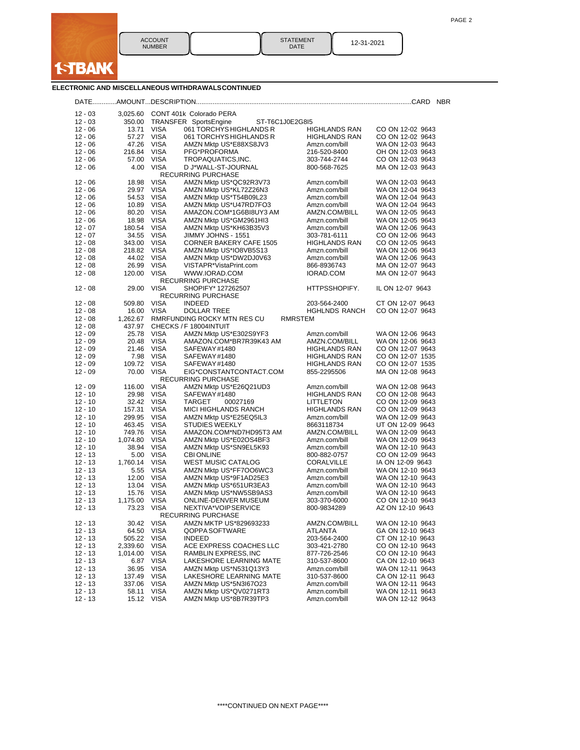

**ELECTRONIC AND MISCELLANEOUS WITHDRAWALSCONTINUED**

**I-TBANK** 

|           |             |             |                                  |                      | <b>NBR</b>       |
|-----------|-------------|-------------|----------------------------------|----------------------|------------------|
| $12 - 03$ |             |             | 3,025.60 CONT 401k Colorado PERA |                      |                  |
| $12 - 03$ | 350.00      |             | TRANSFER SportsEngine            | ST-T6C1J0E2G8I5      |                  |
| $12 - 06$ | 13.71       | <b>VISA</b> | 061 TORCHYS HIGHLANDS R          | <b>HIGHLANDS RAN</b> | CO ON 12-02 9643 |
| $12 - 06$ | 57.27       | <b>VISA</b> | 061 TORCHYS HIGHLANDS R          | <b>HIGHLANDS RAN</b> | CO ON 12-02 9643 |
| $12 - 06$ | 47.26       | <b>VISA</b> | AMZN Mktp US*E88XS8JV3           | Amzn.com/bill        | WA ON 12-03 9643 |
| $12 - 06$ | 216.84 VISA |             | PFG*PROFORMA                     | 216-520-8400         | OH ON 12-03 9643 |
| $12 - 06$ | 57.00 VISA  |             | TROPAQUATICS, INC.               | 303-744-2744         | CO ON 12-03 9643 |
| $12 - 06$ | 4.00        | <b>VISA</b> | D J*WALL-ST-JOURNAL              | 800-568-7625         | MA ON 12-03 9643 |
|           |             |             | <b>RECURRING PURCHASE</b>        |                      |                  |
| $12 - 06$ | 18.98       | <b>VISA</b> | AMZN Mktp US*QC92R3V73           | Amzn.com/bill        | WA ON 12-03 9643 |
| 12 - 06   | 29.97       | <b>VISA</b> | AMZN Mktp US*KL72Z26N3           | Amzn.com/bill        | WA ON 12-04 9643 |
| $12 - 06$ | 54.53       | <b>VISA</b> | AMZN Mktp US*T54B09L23           | Amzn.com/bill        | WA ON 12-04 9643 |
| $12 - 06$ | 10.89       | <b>VISA</b> | AMZN Mktp US*U47RD7FO3           | Amzn.com/bill        | WA ON 12-04 9643 |
| 12 - 06   | 80.20       | <b>VISA</b> | AMAZON.COM*1G6BI8UY3 AM          | AMZN.COM/BILL        | WA ON 12-05 9643 |
| $12 - 06$ | 18.98       | <b>VISA</b> | AMZN Mktp US*GM2961HI3           | Amzn.com/bill        | WA ON 12-05 9643 |
| $12 - 07$ | 180.54      | <b>VISA</b> | AMZN Mktp US*KH63B35V3           | Amzn.com/bill        | WA ON 12-06 9643 |
| $12 - 07$ | 34.55       | <b>VISA</b> | JIMMY JOHNS - 1551               | 303-781-6111         | CO ON 12-06 9643 |
| $12 - 08$ | 343.00      | <b>VISA</b> | <b>CORNER BAKERY CAFE 1505</b>   | <b>HIGHLANDS RAN</b> | CO ON 12-05 9643 |
| $12 - 08$ | 218.82      | <b>VISA</b> | AMZN Mktp US*IO8VB5S13           | Amzn.com/bill        | WA ON 12-06 9643 |
| $12 - 08$ | 44.02       | <b>VISA</b> | AMZN Mktp US*DW2DJ0V63           | Amzn.com/bill        | WA ON 12-06 9643 |
| $12 - 08$ | 26.99       | <b>VISA</b> | VISTAPR*VistaPrint.com           | 866-8936743          | MA ON 12-07 9643 |
| $12 - 08$ | 120.00      | VISA        | WWW.IORAD.COM                    | IORAD.COM            | MA ON 12-07 9643 |
|           |             |             | RECURRING PURCHASE               |                      |                  |
| $12 - 08$ | 29.00       | <b>VISA</b> | SHOPIFY* 127262507               | HTTPSSHOPIFY.        | IL ON 12-07 9643 |
|           |             |             | <b>RECURRING PURCHASE</b>        |                      |                  |
| 12 - 08   | 509.80      | <b>VISA</b> | <b>INDEED</b>                    | 203-564-2400         | CT ON 12-07 9643 |
| $12 - 08$ | 16.00       | <b>VISA</b> | <b>DOLLAR TREE</b>               | <b>HGHLNDS RANCH</b> | CO ON 12-07 9643 |
| $12 - 08$ | 1,262.67    |             | RMRFUNDING ROCKY MTN RES CU      | RMRSTEM              |                  |
| $12 - 08$ | 437.97      |             | CHECKS / F 18004INTUIT           |                      |                  |
| $12 - 09$ | 25.78       | <b>VISA</b> | AMZN Mktp US*E302S9YF3           | Amzn.com/bill        | WA ON 12-06 9643 |
| $12 - 09$ | 20.48       | VISA        | AMAZON.COM*BR7R39K43 AM          | AMZN.COM/BILL        | WA ON 12-06 9643 |
| $12 - 09$ | 21.46       | <b>VISA</b> | SAFEWAY#1480                     | <b>HIGHLANDS RAN</b> | CO ON 12-07 9643 |
| $12 - 09$ | 7.98        | <b>VISA</b> | SAFEWAY#1480                     | <b>HIGHLANDS RAN</b> | CO ON 12-07 1535 |
| $12 - 09$ | 109.72      | <b>VISA</b> | SAFEWAY#1480                     | <b>HIGHLANDS RAN</b> | CO ON 12-07 1535 |
| $12 - 09$ | 70.00       | <b>VISA</b> | EIG*CONSTANTCONTACT.COM          | 855-2295506          | MA ON 12-08 9643 |
|           |             |             | <b>RECURRING PURCHASE</b>        |                      |                  |
| $12 - 09$ | 116.00      | <b>VISA</b> | AMZN Mktp US*E26Q21UD3           | Amzn.com/bill        | WA ON 12-08 9643 |
| 12 - 10   | 29.98       | <b>VISA</b> | SAFEWAY#1480                     | <b>HIGHLANDS RAN</b> | CO ON 12-08 9643 |
| $12 - 10$ | 32.42 VISA  |             | <b>TARGET</b><br>00027169        | <b>LITTLETON</b>     | CO ON 12-09 9643 |
| $12 - 10$ | 157.31      | <b>VISA</b> | MICI HIGHLANDS RANCH             | <b>HIGHLANDS RAN</b> | CO ON 12-09 9643 |
| $12 - 10$ | 299.95      | <b>VISA</b> | AMZN Mktp US*E25EQ5IL3           | Amzn.com/bill        | WA ON 12-09 9643 |
| $12 - 10$ | 463.45      | <b>VISA</b> | <b>STUDIES WEEKLY</b>            | 8663118734           | UT ON 12-09 9643 |
| $12 - 10$ | 749.76      | <b>VISA</b> | AMAZON.COM*ND7HD95T3 AM          | AMZN.COM/BILL        | WA ON 12-09 9643 |
| $12 - 10$ | 1,074.80    | <b>VISA</b> | AMZN Mktp US*E02OS4BF3           | Amzn.com/bill        | WA ON 12-09 9643 |
| $12 - 10$ | 38.94       | <b>VISA</b> | AMZN Mktp US*SN9EL5K93           | Amzn.com/bill        | WA ON 12-10 9643 |
| $12 - 13$ | 5.00        | <b>VISA</b> | <b>CBI ONLINE</b>                | 800-882-0757         | CO ON 12-09 9643 |
| $12 - 13$ | 1,760.14    | <b>VISA</b> | <b>WEST MUSIC CATALOG</b>        | CORALVILLE           | IA ON 12-09 9643 |
| $12 - 13$ | 5.55        | <b>VISA</b> | AMZN Mktp US*FF7OO6WC3           | Amzn.com/bill        | WA ON 12-10 9643 |
| $12 - 13$ | 12.00       | <b>VISA</b> | AMZN Mktp US*9F1AD25E3           | Amzn.com/bill        | WA ON 12-10 9643 |
| $12 - 13$ | 13.04       | <b>VISA</b> | AMZN Mktp US*651UR3EA3           | Amzn.com/bill        | WA ON 12-10 9643 |
| $12 - 13$ | 15.76       | <b>VISA</b> | AMZN Mktp US*NW5SB9AS3           | Amzn.com/bill        | WA ON 12-10 9643 |
| $12 - 13$ | 1,175.00    | <b>VISA</b> | ONLINE-DENVER MUSEUM             | 303-370-6000         | CO ON 12-10 9643 |
| 12 - 13   | 73.23       | <b>VISA</b> | NEXTIVA*VOIPSERVICE              | 800-9834289          | AZ ON 12-10 9643 |
|           |             |             | <b>RECURRING PURCHASE</b>        |                      |                  |
| $12 - 13$ | 30.42       | <b>VISA</b> | AMZN MKTP US*829693233           | AMZN.COM/BILL        | WA ON 12-10 9643 |
| $12 - 13$ | 64.50       | VISA        | QOPPA SOFTWARE                   | ATLANTA              | GA ON 12-10 9643 |
| $12 - 13$ | 505.22      | <b>VISA</b> | <b>INDEED</b>                    | 203-564-2400         | CT ON 12-10 9643 |
| 12 - 13   | 2,339.60    | <b>VISA</b> | ACE EXPRESS COACHES LLC          | 303-421-2780         | CO ON 12-10 9643 |
| 12 - 13   | 1,014.00    | <b>VISA</b> | RAMBLIN EXPRESS, INC             | 877-726-2546         | CO ON 12-10 9643 |
| $12 - 13$ | 6.87        | <b>VISA</b> | LAKESHORE LEARNING MATE          | 310-537-8600         | CA ON 12-10 9643 |
| 12 - 13   | 36.95       | <b>VISA</b> | AMZN Mktp US*N531Q13Y3           | Amzn.com/bill        | WA ON 12-11 9643 |
| 12 - 13   | 137.49      | <b>VISA</b> | LAKESHORE LEARNING MATE          | 310-537-8600         | CA ON 12-11 9643 |
| $12 - 13$ | 337.06      | <b>VISA</b> | AMZN Mktp US*5N3I67O23           | Amzn.com/bill        | WA ON 12-11 9643 |
| $12 - 13$ | 58.11       | <b>VISA</b> | AMZN Mktp US*QV0271RT3           | Amzn.com/bill        | WA ON 12-11 9643 |
| 12 - 13   | 15.12 VISA  |             | AMZN Mktp US*8B7R39TP3           | Amzn.com/bill        | WA ON 12-12 9643 |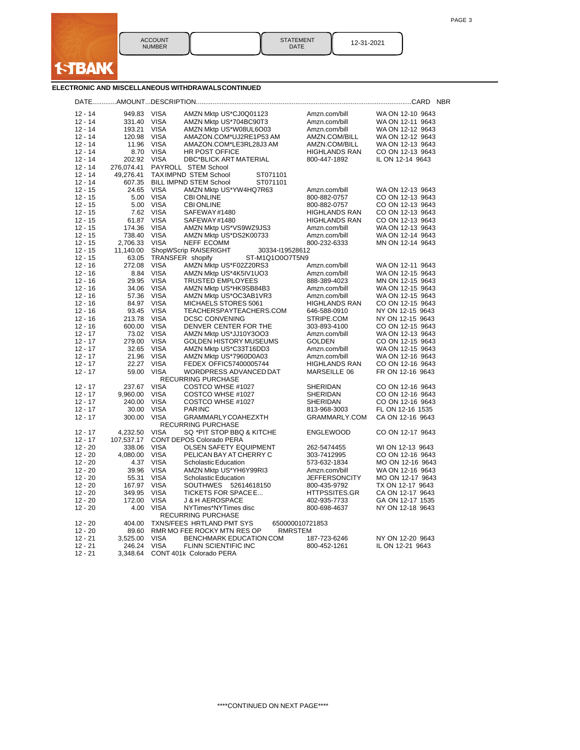

STATEMENT | 12-31-2021

# **ELECTRONIC AND MISCELLANEOUS WITHDRAWALSCONTINUED**

| $12 - 14$ | 949.83     | <b>VISA</b> | AMZN Mktp US*CJ0Q01123                    | Amzn.com/bill        | WA ON 12-10 9643 |
|-----------|------------|-------------|-------------------------------------------|----------------------|------------------|
| $12 - 14$ | 331.40     | <b>VISA</b> | AMZN Mktp US*704BC90T3                    | Amzn.com/bill        | WA ON 12-11 9643 |
| $12 - 14$ | 193.21     | <b>VISA</b> | AMZN Mktp US*W08UL6O03                    | Amzn.com/bill        | WA ON 12-12 9643 |
| $12 - 14$ | 120.98     | <b>VISA</b> | AMAZON.COM*UJ2RE1P53 AM                   | AMZN.COM/BILL        | WA ON 12-12 9643 |
| $12 - 14$ | 11.96      | <b>VISA</b> | AMAZON.COM*LE3RL28J3 AM                   | AMZN.COM/BILL        | WA ON 12-13 9643 |
| $12 - 14$ | 8.70       | <b>VISA</b> | HR POST OFFICE                            | <b>HIGHLANDS RAN</b> | CO ON 12-13 9643 |
| $12 - 14$ | 202.92     | <b>VISA</b> | <b>DBC*BLICK ART MATERIAL</b>             | 800-447-1892         | IL ON 12-14 9643 |
| $12 - 14$ | 276,074.41 |             | PAYROLL STEM School                       |                      |                  |
| $12 - 14$ | 49,276.41  |             | <b>TAXIMPND STEM School</b><br>ST071101   |                      |                  |
| $12 - 14$ | 607.35     |             | <b>BILL IMPND STEM School</b><br>ST071101 |                      |                  |
| $12 - 15$ | 24.65      | <b>VISA</b> | AMZN Mktp US*YW4HQ7R63                    | Amzn.com/bill        | WA ON 12-13 9643 |
| $12 - 15$ | 5.00       | <b>VISA</b> | <b>CBI ONLINE</b>                         | 800-882-0757         | CO ON 12-13 9643 |
| $12 - 15$ | 5.00       | <b>VISA</b> | <b>CBI ONLINE</b>                         | 800-882-0757         | CO ON 12-13 9643 |
| $12 - 15$ | 7.62       | <b>VISA</b> | SAFEWAY#1480                              | <b>HIGHLANDS RAN</b> | CO ON 12-13 9643 |
| $12 - 15$ | 61.87      | <b>VISA</b> | SAFEWAY#1480                              | <b>HIGHLANDS RAN</b> | CO ON 12-13 9643 |
| $12 - 15$ | 174.36     | <b>VISA</b> | AMZN Mktp US*VS9WZ9JS3                    | Amzn.com/bill        | WA ON 12-13 9643 |
| $12 - 15$ | 738.40     | <b>VISA</b> | AMZN Mktp US*DS2K00733                    | Amzn.com/bill        | WA ON 12-14 9643 |
| $12 - 15$ | 2,706.33   | <b>VISA</b> | <b>NEFF ECOMM</b>                         | 800-232-6333         | MN ON 12-14 9643 |
| $12 - 15$ | 11,140.00  |             | ShopWScrip RAISERIGHT<br>30334-119528612  |                      |                  |
| $12 - 15$ | 63.05      |             | TRANSFER shopify<br>ST-M1Q1O0O7T5N9       |                      |                  |
| $12 - 16$ | 272.08     | <b>VISA</b> | AMZN Mktp US*F02Z20RS3                    | Amzn.com/bill        | WA ON 12-11 9643 |
| $12 - 16$ | 8.84       | <b>VISA</b> | AMZN Mktp US*4K5IV1UO3                    | Amzn.com/bill        | WA ON 12-15 9643 |
| $12 - 16$ | 29.95      | <b>VISA</b> | <b>TRUSTED EMPLOYEES</b>                  | 888-389-4023         | MN ON 12-15 9643 |
| $12 - 16$ | 34.06      | <b>VISA</b> | AMZN Mktp US*HK9SB84B3                    | Amzn.com/bill        | WA ON 12-15 9643 |
| $12 - 16$ | 57.36      | <b>VISA</b> | AMZN Mktp US*OC3AB1VR3                    | Amzn.com/bill        | WA ON 12-15 9643 |
| $12 - 16$ | 84.97      | <b>VISA</b> | MICHAELS STORES 5061                      | HIGHLANDS RAN        | CO ON 12-15 9643 |
| $12 - 16$ | 93.45      | <b>VISA</b> | TEACHERSPAYTEACHERS.COM                   | 646-588-0910         | NY ON 12-15 9643 |
| $12 - 16$ | 213.78     | <b>VISA</b> | <b>DCSC CONVENING</b>                     | STRIPE.COM           | NY ON 12-15 9643 |
| $12 - 16$ | 600.00     | <b>VISA</b> | DENVER CENTER FOR THE                     | 303-893-4100         | CO ON 12-15 9643 |
| $12 - 17$ | 73.02      | <b>VISA</b> | AMZN Mktp US*JJ10Y3OO3                    | Amzn.com/bill        | WA ON 12-13 9643 |
| $12 - 17$ | 279.00     | <b>VISA</b> | <b>GOLDEN HISTORY MUSEUMS</b>             | <b>GOLDEN</b>        | CO ON 12-15 9643 |
| $12 - 17$ | 32.65      | <b>VISA</b> | AMZN Mktp US*C33T16DD3                    | Amzn.com/bill        | WA ON 12-15 9643 |
| $12 - 17$ | 21.96      | <b>VISA</b> | AMZN Mktp US*7960D0A03                    | Amzn.com/bill        | WA ON 12-16 9643 |
| $12 - 17$ | 22.27      | <b>VISA</b> | FEDEX OFFIC57400005744                    | <b>HIGHLANDS RAN</b> | CO ON 12-16 9643 |
| $12 - 17$ | 59.00      | <b>VISA</b> | WORDPRESS ADVANCED DAT                    | MARSEILLE 06         | FR ON 12-16 9643 |
|           |            |             | <b>RECURRING PURCHASE</b>                 |                      |                  |
| $12 - 17$ | 237.67     | <b>VISA</b> | COSTCO WHSE #1027                         | SHERIDAN             | CO ON 12-16 9643 |
| $12 - 17$ | 9,960.00   | <b>VISA</b> | COSTCO WHSE #1027                         | SHERIDAN             | CO ON 12-16 9643 |
| $12 - 17$ | 240.00     | <b>VISA</b> | COSTCO WHSE #1027                         | SHERIDAN             | CO ON 12-16 9643 |
| $12 - 17$ | 30.00      | <b>VISA</b> | <b>PARINC</b>                             | 813-968-3003         | FL ON 12-16 1535 |
| $12 - 17$ | 300.00     | <b>VISA</b> | GRAMMARLY COAHEZXTH                       | GRAMMARLY.COM        | CA ON 12-16 9643 |
|           |            |             | <b>RECURRING PURCHASE</b>                 |                      |                  |
| $12 - 17$ | 4,232.50   | <b>VISA</b> | SQ *PIT STOP BBQ & KITCHE                 | <b>ENGLEWOOD</b>     | CO ON 12-17 9643 |
| $12 - 17$ | 107,537.17 |             | CONT DEPOS Colorado PERA                  |                      |                  |
| $12 - 20$ | 338.06     | <b>VISA</b> | OLSEN SAFETY EQUIPMENT                    | 262-5474455          | WI ON 12-13 9643 |
| $12 - 20$ | 4,080.00   | <b>VISA</b> | PELICAN BAY AT CHERRY C                   | 303-7412995          | CO ON 12-16 9643 |
| $12 - 20$ | 4.37       | <b>VISA</b> | Scholastic Education                      | 573-632-1834         | MO ON 12-16 9643 |
| $12 - 20$ | 39.96      | <b>VISA</b> | AMZN Mktp US*YH6Y99RI3                    | Amzn.com/bill        | WA ON 12-16 9643 |
| $12 - 20$ | 55.31      | <b>VISA</b> | Scholastic Education                      | <b>JEFFERSONCITY</b> | MO ON 12-17 9643 |
| $12 - 20$ | 167.97     | <b>VISA</b> | SOUTHWES 52614618150                      | 800-435-9792         | TX ON 12-17 9643 |
| $12 - 20$ | 349.95     | <b>VISA</b> | TICKETS FOR SPACE E                       | HTTPSSITES.GR        | CA ON 12-17 9643 |
| $12 - 20$ | 172.00     | <b>VISA</b> | <b>J &amp; H AEROSPACE</b>                | 402-935-7733         | GA ON 12-17 1535 |
| $12 - 20$ | 4.00       | <b>VISA</b> | NYTimes*NYTimes disc                      | 800-698-4637         | NY ON 12-18 9643 |
|           |            |             | <b>RECURRING PURCHASE</b>                 |                      |                  |
| $12 - 20$ | 404.00     |             | TXNS/FEES HRTLAND PMT SYS                 | 650000010721853      |                  |
| $12 - 20$ | 89.60      |             | RMR MO FEE ROCKY MTN RES OP               | RMRSTEM              |                  |
| $12 - 21$ | 3,525.00   | <b>VISA</b> | BENCHMARK EDUCATION COM                   | 187-723-6246         | NY ON 12-20 9643 |
| $12 - 21$ | 246.24     | <b>VISA</b> | FLINN SCIENTIFIC INC                      | 800-452-1261         | IL ON 12-21 9643 |
| $12 - 21$ | 3,348.64   |             | CONT 401k Colorado PERA                   |                      |                  |
|           |            |             |                                           |                      |                  |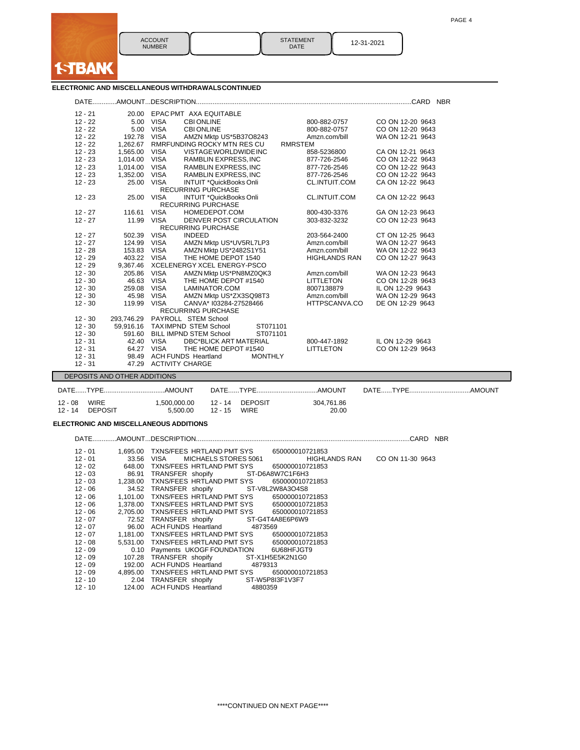

| 12-31-2021 |
|------------|
|            |

### **ELECTRONIC AND MISCELLANEOUS WITHDRAWALSCONTINUED**

| $12 - 21$              |                              | 20.00 EPAC PMT AXA EQUITABLE                                |                                          |  |  |  |  |  |
|------------------------|------------------------------|-------------------------------------------------------------|------------------------------------------|--|--|--|--|--|
| $12 - 22$              |                              | 5.00 VISA<br><b>CBI ONLINE</b>                              | 800-882-0757<br>CO ON 12-20 9643         |  |  |  |  |  |
| $12 - 22$              |                              | 5.00 VISA<br><b>CBI ONLINE</b>                              | 800-882-0757<br>CO ON 12-20 9643         |  |  |  |  |  |
| $12 - 22$              | 192.78 VISA                  | AMZN Mktp US*5B37O8243                                      | WA ON 12-21 9643<br>Amzn.com/bill        |  |  |  |  |  |
| $12 - 22$              |                              | 1,262.67 RMRFUNDING ROCKY MTN RES CU<br><b>RMRSTEM</b>      |                                          |  |  |  |  |  |
| $12 - 23$              | 1,565.00 VISA                | VISTAGE WORLDWIDE INC                                       | 858-5236800<br>CA ON 12-21 9643          |  |  |  |  |  |
| $12 - 23$              |                              | RAMBLIN EXPRESS, INC<br>1,014.00 VISA                       | 877-726-2546<br>CO ON 12-22 9643         |  |  |  |  |  |
| $12 - 23$              |                              | 1,014.00 VISA<br>RAMBLIN EXPRESS, INC                       | 877-726-2546<br>CO ON 12-22 9643         |  |  |  |  |  |
| $12 - 23$              |                              | 1,352.00 VISA<br>RAMBLIN EXPRESS, INC                       | 877-726-2546<br>CO ON 12-22 9643         |  |  |  |  |  |
| $12 - 23$              |                              | 25.00 VISA<br>INTUIT *QuickBooks Onli                       | CL.INTUIT.COM<br>CA ON 12-22 9643        |  |  |  |  |  |
|                        |                              | <b>RECURRING PURCHASE</b>                                   |                                          |  |  |  |  |  |
| $12 - 23$              | 25.00 VISA                   | INTUIT *QuickBooks Onli                                     | <b>CL.INTUIT.COM</b><br>CA ON 12-22 9643 |  |  |  |  |  |
|                        |                              | <b>RECURRING PURCHASE</b>                                   |                                          |  |  |  |  |  |
| 12 - 27                | 116.61 VISA                  | HOMEDEPOT.COM                                               | 800-430-3376<br>GA ON 12-23 9643         |  |  |  |  |  |
| $12 - 27$              |                              | 11.99 VISA<br>DENVER POST CIRCULATION                       | 303-832-3232<br>CO ON 12-23 9643         |  |  |  |  |  |
|                        |                              | RECURRING PURCHASE                                          |                                          |  |  |  |  |  |
| $12 - 27$              | 502.39 VISA                  | <b>INDEED</b>                                               | 203-564-2400<br>CT ON 12-25 9643         |  |  |  |  |  |
| $12 - 27$              |                              | 124.99 VISA<br>AMZN Mktp US*UV5RL7LP3                       | Amzn.com/bill<br>WA ON 12-27 9643        |  |  |  |  |  |
| $12 - 28$              |                              | 153.83 VISA AMZN Mktp US*2482S1Y51                          | Amzn.com/bill<br>WA ON 12-22 9643        |  |  |  |  |  |
| $12 - 29$              | 403.22 VISA                  | THE HOME DEPOT 1540                                         | <b>HIGHLANDS RAN</b><br>CO ON 12-27 9643 |  |  |  |  |  |
| $12 - 29$              |                              | 9,367.46 XCELENERGY XCEL ENERGY-PSCO                        |                                          |  |  |  |  |  |
| $12 - 30$              | 205.86 VISA                  | AMZN Mktp US*PN8MZ0QK3                                      | Amzn.com/bill<br>WA ON 12-23 9643        |  |  |  |  |  |
| $12 - 30$              |                              | 46.63 VISA<br>THE HOME DEPOT #1540                          | <b>LITTLETON</b><br>CO ON 12-28 9643     |  |  |  |  |  |
| $12 - 30$              | 259.08 VISA                  | LAMINATOR.COM                                               | 8007138879<br>IL ON 12-29 9643           |  |  |  |  |  |
| $12 - 30$              | 45.98 VISA                   | AMZN Mktp US*ZX3SQ98T3                                      | WA ON 12-29 9643<br>Amzn.com/bill        |  |  |  |  |  |
| $12 - 30$              | 119.99 VISA                  | CANVA* I03284-27528466                                      | HTTPSCANVA.CO<br>DE ON 12-29 9643        |  |  |  |  |  |
|                        |                              | <b>RECURRING PURCHASE</b><br>293,746.29 PAYROLL STEM School |                                          |  |  |  |  |  |
| $12 - 30$<br>$12 - 30$ |                              | 59,916.16 TAXIMPND STEM School<br>ST071101                  |                                          |  |  |  |  |  |
| $12 - 30$              |                              | 591.60 BILL IMPND STEM School<br>ST071101                   |                                          |  |  |  |  |  |
| $12 - 31$              | 42.40 VISA                   | <b>DBC*BLICK ART MATERIAL</b>                               | 800-447-1892<br>IL ON 12-29 9643         |  |  |  |  |  |
| $12 - 31$              | 64.27 VISA                   | THE HOME DEPOT #1540                                        | LITTLETON<br>CO ON 12-29 9643            |  |  |  |  |  |
| $12 - 31$              |                              | 98.49 ACH FUNDS Heartland<br><b>MONTHLY</b>                 |                                          |  |  |  |  |  |
| $12 - 31$              |                              | 47.29 ACTIVITY CHARGE                                       |                                          |  |  |  |  |  |
|                        |                              |                                                             |                                          |  |  |  |  |  |
|                        | DEPOSITS AND OTHER ADDITIONS |                                                             |                                          |  |  |  |  |  |

| DATETYPE |                         |                                            |              |                     | DATE TYPE<br>.AMOUNT |
|----------|-------------------------|--------------------------------------------|--------------|---------------------|----------------------|
| 12 - 08  | WIRE<br>12 - 14 DEPOSIT | 1.500.000.00  12 - 14  DEPOSIT<br>5.500.00 | 12 - 15 WIRE | 304.761.86<br>20.00 |                      |

# **ELECTRONIC AND MISCELLANEOUS ADDITIONS**

DATE.............AMOUNT...DESCRIPTION....................................................................................................................CARD NBR

| $12 - 01$ | 1.695.00 | TXNS/FEES HRTLAND PMT SYS<br>650000010721853                             |
|-----------|----------|--------------------------------------------------------------------------|
| $12 - 01$ | 33.56    | VISA<br><b>HIGHLANDS RAN</b><br>CO ON 11-30 9643<br>MICHAELS STORES 5061 |
| $12 - 02$ | 648.00   | TXNS/FEES_HRTLAND PMT SYS<br>650000010721853                             |
| $12 - 03$ |          | 86.91 TRANSFER shopify ST-D6A8W7C1F6H3                                   |
| $12 - 03$ |          | 1.238.00 TXNS/FEES HRTLAND PMT SYS<br>650000010721853                    |
| $12 - 06$ |          | 34.52 TRANSFER shopify ST-V8L2W8A3O4S8                                   |
| 12 - 06   |          | 1,101.00 TXNS/FEES HRTLAND PMT SYS<br>650000010721853                    |
| $12 - 06$ |          | 1,378.00 TXNS/FEES HRTLAND PMT SYS 650000010721853                       |
| $12 - 06$ |          | 2.705.00 TXNS/FEES HRTLAND PMT SYS 650000010721853                       |
| 12 - 07   |          | 72.52 TRANSFER shopify ST-G4T4A8E6P6W9                                   |
| $12 - 07$ |          | 96.00 ACH FUNDS Heartland 4873569                                        |
| $12 - 07$ |          | 1,181.00 TXNS/FEES HRTLAND PMT SYS<br>650000010721853                    |
| $12 - 08$ |          | 5,531.00 TXNS/FEES HRTLAND PMT SYS 650000010721853                       |
| $12 - 09$ |          | 0.10 Payments UKOGF FOUNDATION 6U68HFJGT9                                |
| $12 - 09$ |          | 107.28 TRANSFER shopify ST-X1H5E5K2N1G0                                  |
| $12 - 09$ | 192.00   | ACH FUNDS Heartland 4879313                                              |
| $12 - 09$ | 4.895.00 | TXNS/FEES HRTLAND PMT SYS<br>650000010721853                             |
| 12 - 10   |          | 2.04 TRANSFER shopify ST-W5P8I3F1V3F7                                    |
| $12 - 10$ | 124.00   | <b>ACH FUNDS Heartland</b><br>4880359                                    |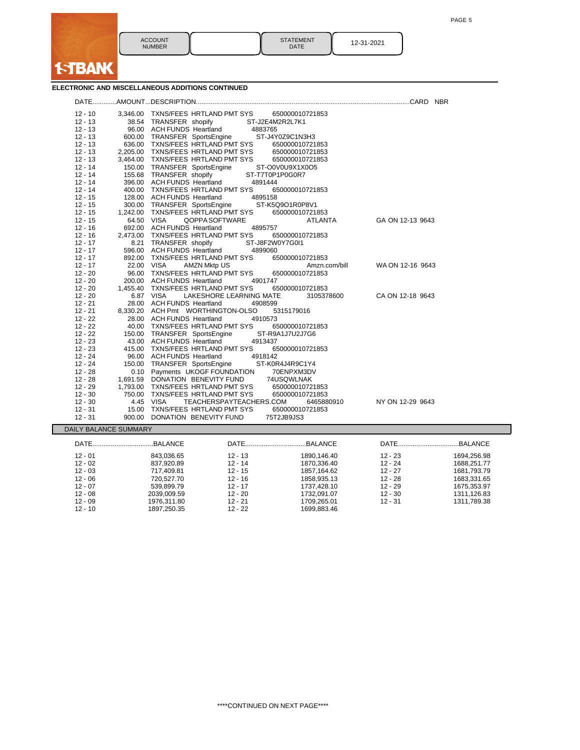

# **ELECTRONIC AND MISCELLANEOUS ADDITIONS CONTINUED**

**I-TBANK** 

| $12 - 10$              |                       | 3,346.00 TXNS/FEES HRTLAND PMT SYS 650000010721853                           |  |
|------------------------|-----------------------|------------------------------------------------------------------------------|--|
| $12 - 13$              |                       | 38.54 TRANSFER shopify<br>ST-J2E4M2R2L7K1                                    |  |
| $12 - 13$              |                       | 96.00 ACH FUNDS Heartland<br>4883765                                         |  |
| $12 - 13$              |                       | ST-J4Y0Z9C1N3H3<br>600.00 TRANSFER SportsEngine                              |  |
| $12 - 13$              |                       | 636.00 TXNS/FEES HRTLAND PMT SYS<br>650000010721853                          |  |
| $12 - 13$              |                       | 2,205.00 TXNS/FEES HRTLAND PMT SYS<br>650000010721853                        |  |
| $12 - 13$              |                       | 3,464.00 TXNS/FEES HRTLAND PMT SYS<br>650000010721853                        |  |
| $12 - 14$              |                       | 150.00 TRANSFER SportsEngine<br>ST-O0V0U9X1X0O5                              |  |
| $12 - 14$              |                       | 155.68 TRANSFER shopify<br>ST-T7T0P1P0G0R7                                   |  |
| $12 - 14$              |                       | 396.00 ACH FUNDS Heartland<br>4891444                                        |  |
| $12 - 14$              |                       | 400.00 TXNS/FEES HRTLAND PMT SYS<br>650000010721853                          |  |
| $12 - 15$              |                       | 128.00 ACH FUNDS Heartland<br>4895158                                        |  |
| $12 - 15$              |                       | 300.00 TRANSFER SportsEngine<br>ST-K5Q9O1R0P8V1                              |  |
| $12 - 15$              |                       | 1,242.00 TXNS/FEES HRTLAND PMT SYS<br>650000010721853                        |  |
| $12 - 15$              |                       | 64.50 VISA<br>QOPPA SOFTWARE<br>GA ON 12-13 9643<br>ATLANTA                  |  |
| $12 - 16$              |                       | 692.00 ACH FUNDS Heartland<br>4895757                                        |  |
| $12 - 16$              |                       | 2,473.00 TXNS/FEES HRTLAND PMT SYS<br>650000010721853                        |  |
| $12 - 17$              |                       | ST-J8F2W0Y7G0I1<br>8.21 TRANSFER shopify                                     |  |
| $12 - 17$              |                       | 596.00 ACH FUNDS Heartland<br>4899060                                        |  |
| $12 - 17$              |                       | 892.00 TXNS/FEES HRTLAND PMT SYS<br>650000010721853                          |  |
| $12 - 17$              |                       | 22.00 VISA<br>AMZN Mktp US<br>WA ON 12-16 9643<br>Amzn.com/bill              |  |
| $12 - 20$              |                       | 96.00 TXNS/FEES HRTLAND PMT SYS<br>650000010721853                           |  |
| $12 - 20$              |                       | 200.00 ACH FUNDS Heartland<br>4901747                                        |  |
| $12 - 20$              |                       | 1,455.40 TXNS/FEES HRTLAND PMT SYS<br>650000010721853                        |  |
| $12 - 20$              |                       | 6.87 VISA<br>LAKESHORE LEARNING MATE<br>CA ON 12-18 9643<br>3105378600       |  |
| $12 - 21$              |                       | 28.00 ACH FUNDS Heartland<br>4908599                                         |  |
| $12 - 21$              |                       | 8,330.20 ACH Pmt WORTHINGTON-OLSO<br>5315179016<br>28.00 ACH FUNDS Heartland |  |
| $12 - 22$<br>$12 - 22$ |                       | 4910573<br>40.00 TXNS/FEES HRTLAND PMT SYS<br>650000010721853                |  |
| $12 - 22$              |                       | 150.00 TRANSFER SportsEngine<br>ST-R9A1J7U2J7G6                              |  |
| $12 - 23$              |                       | 43.00 ACH FUNDS Heartland<br>4913437                                         |  |
| $12 - 23$              |                       | 415.00 TXNS/FEES HRTLAND PMT SYS<br>650000010721853                          |  |
| $12 - 24$              |                       | 96.00 ACH FUNDS Heartland<br>4918142                                         |  |
| $12 - 24$              |                       | 150.00 TRANSFER SportsEngine<br>ST-K0R4J4R9C1Y4                              |  |
| $12 - 28$              |                       | 0.10 Payments UKOGF FOUNDATION<br>70ENPXM3DV                                 |  |
| $12 - 28$              |                       | 1,691.59 DONATION BENEVITY FUND<br>74USQWLNAK                                |  |
| $12 - 29$              |                       | 1,793.00 TXNS/FEES HRTLAND PMT SYS<br>650000010721853                        |  |
| $12 - 30$              |                       | 750.00 TXNS/FEES HRTLAND PMT SYS<br>650000010721853                          |  |
| $12 - 30$              |                       | 4.45 VISA<br>TEACHERSPAYTEACHERS.COM<br>6465880910<br>NY ON 12-29 9643       |  |
| $12 - 31$              | 15.00                 | TXNS/FEES HRTLAND PMT SYS<br>650000010721853                                 |  |
| $12 - 31$              |                       | 900.00 DONATION BENEVITY FUND<br>75T2JB9JS3                                  |  |
|                        | DAILY BALANCE SUMMARY |                                                                              |  |

| $12 - 01$ | 843.036.65  | $12 - 13$ | 1890.146.40 | $12 - 23$ | 1694.256.98 |
|-----------|-------------|-----------|-------------|-----------|-------------|
| $12 - 02$ | 837.920.89  | $12 - 14$ | 1870.336.40 | $12 - 24$ | 1688.251.77 |
| $12 - 03$ | 717.409.81  | $12 - 15$ | 1857.164.62 | $12 - 27$ | 1681.793.79 |
| $12 - 06$ | 720.527.70  | $12 - 16$ | 1858.935.13 | $12 - 28$ | 1683.331.65 |
| $12 - 07$ | 539.899.79  | $12 - 17$ | 1737.428.10 | $12 - 29$ | 1675.353.97 |
| $12 - 08$ | 2039.009.59 | $12 - 20$ | 1732.091.07 | $12 - 30$ | 1311.126.83 |
| $12 - 09$ | 1976.311.80 | $12 - 21$ | 1709.265.01 | $12 - 31$ | 1311,789.38 |
| $12 - 10$ | 1897.250.35 | $12 - 22$ | 1699.883.46 |           |             |